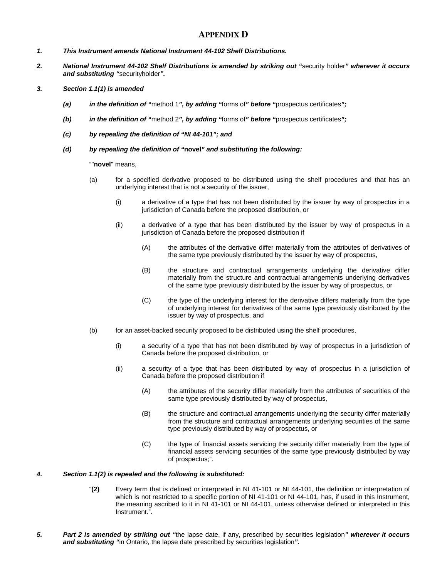# **APPENDIX D**

- *1. This Instrument amends National Instrument 44-102 Shelf Distributions.*
- *2. National Instrument 44-102 Shelf Distributions is amended by striking out "*security holder*" wherever it occurs and substituting "*securityholder*".*
- *3. Section 1.1(1) is amended* 
	- *(a) in the definition of "*method 1*", by adding "*forms of*" before "*prospectus certificates*";*
	- *(b) in the definition of "*method 2*", by adding "*forms of*" before "*prospectus certificates*";*
	- *(c) by repealing the definition of "NI 44-101"; and*
	- *(d) by repealing the definition of "***novel***" and substituting the following:*

""**novel**" means,

- (a) for a specified derivative proposed to be distributed using the shelf procedures and that has an underlying interest that is not a security of the issuer,
	- (i) a derivative of a type that has not been distributed by the issuer by way of prospectus in a jurisdiction of Canada before the proposed distribution, or
	- (ii) a derivative of a type that has been distributed by the issuer by way of prospectus in a jurisdiction of Canada before the proposed distribution if
		- (A) the attributes of the derivative differ materially from the attributes of derivatives of the same type previously distributed by the issuer by way of prospectus,
		- (B) the structure and contractual arrangements underlying the derivative differ materially from the structure and contractual arrangements underlying derivatives of the same type previously distributed by the issuer by way of prospectus, or
		- (C) the type of the underlying interest for the derivative differs materially from the type of underlying interest for derivatives of the same type previously distributed by the issuer by way of prospectus, and
- (b) for an asset-backed security proposed to be distributed using the shelf procedures,
	- (i) a security of a type that has not been distributed by way of prospectus in a jurisdiction of Canada before the proposed distribution, or
	- (ii) a security of a type that has been distributed by way of prospectus in a jurisdiction of Canada before the proposed distribution if
		- (A) the attributes of the security differ materially from the attributes of securities of the same type previously distributed by way of prospectus,
		- (B) the structure and contractual arrangements underlying the security differ materially from the structure and contractual arrangements underlying securities of the same type previously distributed by way of prospectus, or
		- (C) the type of financial assets servicing the security differ materially from the type of financial assets servicing securities of the same type previously distributed by way of prospectus;".

#### *4. Section 1.1(2) is repealed and the following is substituted:*

- "**(2)** Every term that is defined or interpreted in NI 41-101 or NI 44-101, the definition or interpretation of which is not restricted to a specific portion of NI 41-101 or NI 44-101, has, if used in this Instrument, the meaning ascribed to it in NI 41-101 or NI 44-101, unless otherwise defined or interpreted in this Instrument.".
- *5. Part 2 is amended by striking out "*the lapse date, if any, prescribed by securities legislation*" wherever it occurs and substituting "*in Ontario, the lapse date prescribed by securities legislation*".*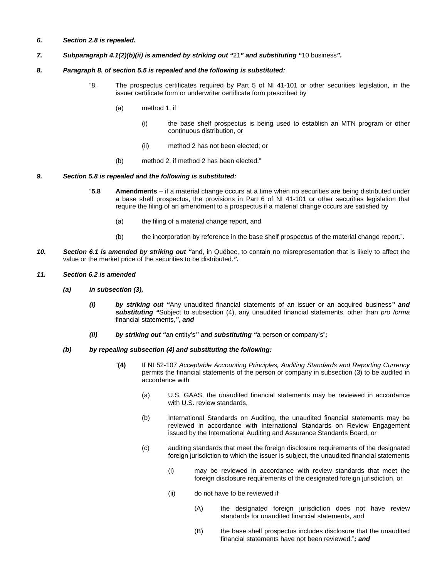- *6. Section 2.8 is repealed.*
- *7. Subparagraph 4.1(2)(b)(ii) is amended by striking out "*21*" and substituting "*10 business*".*
- *8. Paragraph 8. of section 5.5 is repealed and the following is substituted:* 
	- "8. The prospectus certificates required by Part 5 of NI 41-101 or other securities legislation, in the issuer certificate form or underwriter certificate form prescribed by
		- (a) method 1, if
			- (i) the base shelf prospectus is being used to establish an MTN program or other continuous distribution, or
			- (ii) method 2 has not been elected; or
		- (b) method 2, if method 2 has been elected."

#### *9. Section 5.8 is repealed and the following is substituted:*

- "**5.8 Amendments** if a material change occurs at a time when no securities are being distributed under a base shelf prospectus, the provisions in Part 6 of NI 41-101 or other securities legislation that require the filing of an amendment to a prospectus if a material change occurs are satisfied by
	- (a) the filing of a material change report, and
	- (b) the incorporation by reference in the base shelf prospectus of the material change report.".
- *10. Section 6.1 is amended by striking out "*and, in Québec, to contain no misrepresentation that is likely to affect the value or the market price of the securities to be distributed.*".*

#### *11. Section 6.2 is amended*

- *(a) in subsection (3),* 
	- *(i) by striking out "*Any unaudited financial statements of an issuer or an acquired business*" and substituting "*Subject to subsection (4), any unaudited financial statements, other than *pro forma* financial statements,*", and*
	- *(ii) by striking out "*an entity's*" and substituting "*a person or company's"*;*
- *(b) by repealing subsection (4) and substituting the following:* 
	- "**(4)** If NI 52-107 *Acceptable Accounting Principles, Auditing Standards and Reporting Currency*  permits the financial statements of the person or company in subsection (3) to be audited in accordance with
		- (a) U.S. GAAS, the unaudited financial statements may be reviewed in accordance with U.S. review standards,
		- (b) International Standards on Auditing, the unaudited financial statements may be reviewed in accordance with International Standards on Review Engagement issued by the International Auditing and Assurance Standards Board, or
		- (c) auditing standards that meet the foreign disclosure requirements of the designated foreign jurisdiction to which the issuer is subject, the unaudited financial statements
			- (i) may be reviewed in accordance with review standards that meet the foreign disclosure requirements of the designated foreign jurisdiction, or
			- (ii) do not have to be reviewed if
				- (A) the designated foreign jurisdiction does not have review standards for unaudited financial statements, and
				- (B) the base shelf prospectus includes disclosure that the unaudited financial statements have not been reviewed."*; and*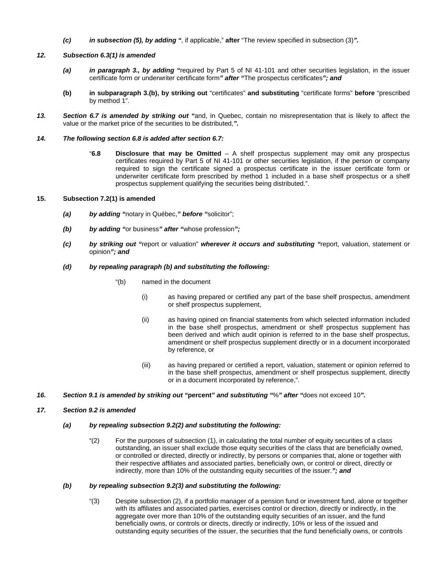*(c) in subsection (5), by adding "*, if applicable," **after** "The review specified in subsection (3)*".*

### *12. Subsection 6.3(1) is amended*

- *(a) in paragraph 3., by adding "*required by Part 5 of NI 41-101 and other securities legislation, in the issuer certificate form or underwriter certificate form*" after "*The prospectus certificates*"; and*
- **(b) in subparagraph 3.(b), by striking out** "certificates" **and substituting** "certificate forms" **before** "prescribed by method 1".
- *13. Section 6.7 is amended by striking out "*and, in Quebec, contain no misrepresentation that is likely to affect the value or the market price of the securities to be distributed,*".*

#### *14. The following section 6.8 is added after section 6.7:*

"**6.8 Disclosure that may be Omitted** – A shelf prospectus supplement may omit any prospectus certificates required by Part 5 of NI 41-101 or other securities legislation, if the person or company required to sign the certificate signed a prospectus certificate in the issuer certificate form or underwriter certificate form prescribed by method 1 included in a base shelf prospectus or a shelf prospectus supplement qualifying the securities being distributed.".

### **15. Subsection 7.2(1) is amended**

- *(a) by adding "*notary in Québec,*" before "*solicitor";
- *(b) by adding "*or business*" after "*whose profession*";*
- *(c) by striking out "*report or valuation" *wherever it occurs and substituting "*report, valuation, statement or opinion*"; and*
- *(d) by repealing paragraph (b) and substituting the following:* 
	- "(b) named in the document
		- (i) as having prepared or certified any part of the base shelf prospectus, amendment or shelf prospectus supplement,
		- (ii) as having opined on financial statements from which selected information included in the base shelf prospectus, amendment or shelf prospectus supplement has been derived and which audit opinion is referred to in the base shelf prospectus, amendment or shelf prospectus supplement directly or in a document incorporated by reference, or
		- (iii) as having prepared or certified a report, valuation, statement or opinion referred to in the base shelf prospectus, amendment or shelf prospectus supplement, directly or in a document incorporated by reference,".
- *16. Section 9.1 is amended by striking out "***percent***" and substituting "*%*" after "*does not exceed 10*".*

### *17. Section 9.2 is amended*

### *(a) by repealing subsection 9.2(2) and substituting the following:*

"(2) For the purposes of subsection (1), in calculating the total number of equity securities of a class outstanding, an issuer shall exclude those equity securities of the class that are beneficially owned, or controlled or directed, directly or indirectly, by persons or companies that, alone or together with their respective affiliates and associated parties, beneficially own, or control or direct, directly or indirectly, more than 10% of the outstanding equity securities of the issuer.*"; and*

## *(b) by repealing subsection 9.2(3) and substituting the following:*

"(3) Despite subsection (2), if a portfolio manager of a pension fund or investment fund, alone or together with its affiliates and associated parties, exercises control or direction, directly or indirectly, in the aggregate over more than 10% of the outstanding equity securities of an issuer, and the fund beneficially owns, or controls or directs, directly or indirectly, 10% or less of the issued and outstanding equity securities of the issuer, the securities that the fund beneficially owns, or controls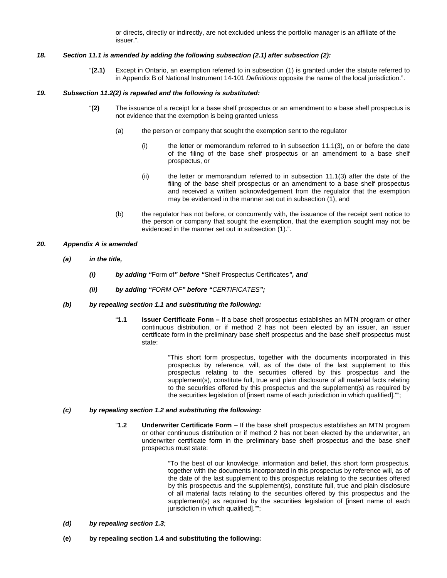or directs, directly or indirectly, are not excluded unless the portfolio manager is an affiliate of the issuer.".

### *18. Section 11.1 is amended by adding the following subsection (2.1) after subsection (2):*

"**(2.1)** Except in Ontario, an exemption referred to in subsection (1) is granted under the statute referred to in Appendix B of National Instrument 14-101 *Definitions* opposite the name of the local jurisdiction.".

#### *19. Subsection 11.2(2) is repealed and the following is substituted:*

- "**(2)** The issuance of a receipt for a base shelf prospectus or an amendment to a base shelf prospectus is not evidence that the exemption is being granted unless
	- (a) the person or company that sought the exemption sent to the regulator
		- (i) the letter or memorandum referred to in subsection 11.1(3), on or before the date of the filing of the base shelf prospectus or an amendment to a base shelf prospectus, or
		- (ii) the letter or memorandum referred to in subsection 11.1(3) after the date of the filing of the base shelf prospectus or an amendment to a base shelf prospectus and received a written acknowledgement from the regulator that the exemption may be evidenced in the manner set out in subsection (1), and
	- (b) the regulator has not before, or concurrently with, the issuance of the receipt sent notice to the person or company that sought the exemption, that the exemption sought may not be evidenced in the manner set out in subsection (1).".

#### *20. Appendix A is amended*

- *(a) in the title,* 
	- *(i) by adding "*Form of*" before "*Shelf Prospectus Certificates*", and*
	- *(ii) by adding "FORM OF" before "CERTIFICATES";*

### *(b) by repealing section 1.1 and substituting the following:*

"**1.1 Issuer Certificate Form –** If a base shelf prospectus establishes an MTN program or other continuous distribution, or if method 2 has not been elected by an issuer, an issuer certificate form in the preliminary base shelf prospectus and the base shelf prospectus must state:

> "This short form prospectus, together with the documents incorporated in this prospectus by reference, will, as of the date of the last supplement to this prospectus relating to the securities offered by this prospectus and the supplement(s), constitute full, true and plain disclosure of all material facts relating to the securities offered by this prospectus and the supplement(s) as required by the securities legislation of [insert name of each jurisdiction in which qualified]."";

### *(c) by repealing section 1.2 and substituting the following:*

"**1.2 Underwriter Certificate Form** – If the base shelf prospectus establishes an MTN program or other continuous distribution or if method 2 has not been elected by the underwriter, an underwriter certificate form in the preliminary base shelf prospectus and the base shelf prospectus must state:

> "To the best of our knowledge, information and belief, this short form prospectus, together with the documents incorporated in this prospectus by reference will, as of the date of the last supplement to this prospectus relating to the securities offered by this prospectus and the supplement(s), constitute full, true and plain disclosure of all material facts relating to the securities offered by this prospectus and the supplement(s) as required by the securities legislation of [insert name of each jurisdiction in which qualified]."";

- *(d) by repealing section 1.3;*
- **(e) by repealing section 1.4 and substituting the following:**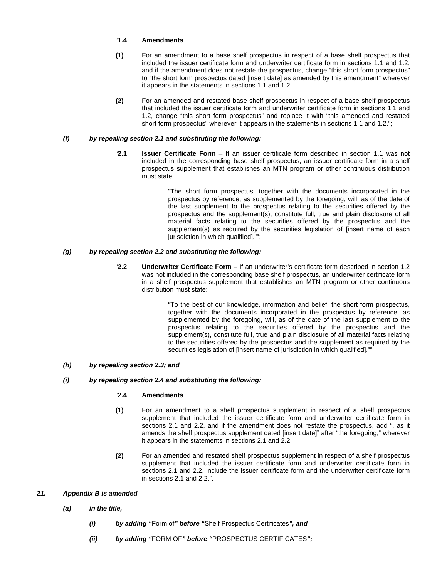## "**1.4 Amendments**

- **(1)** For an amendment to a base shelf prospectus in respect of a base shelf prospectus that included the issuer certificate form and underwriter certificate form in sections 1.1 and 1.2, and if the amendment does not restate the prospectus, change "this short form prospectus" to "the short form prospectus dated [insert date] as amended by this amendment" wherever it appears in the statements in sections 1.1 and 1.2.
- **(2)** For an amended and restated base shelf prospectus in respect of a base shelf prospectus that included the issuer certificate form and underwriter certificate form in sections 1.1 and 1.2, change "this short form prospectus" and replace it with "this amended and restated short form prospectus" wherever it appears in the statements in sections 1.1 and 1.2.";

### *(f) by repealing section 2.1 and substituting the following:*

"**2.1 Issuer Certificate Form** – If an issuer certificate form described in section 1.1 was not included in the corresponding base shelf prospectus, an issuer certificate form in a shelf prospectus supplement that establishes an MTN program or other continuous distribution must state:

> "The short form prospectus, together with the documents incorporated in the prospectus by reference, as supplemented by the foregoing, will, as of the date of the last supplement to the prospectus relating to the securities offered by the prospectus and the supplement(s), constitute full, true and plain disclosure of all material facts relating to the securities offered by the prospectus and the supplement(s) as required by the securities legislation of [insert name of each jurisdiction in which qualified]."";

## *(g) by repealing section 2.2 and substituting the following:*

"**2.2 Underwriter Certificate Form** – If an underwriter's certificate form described in section 1.2 was not included in the corresponding base shelf prospectus, an underwriter certificate form in a shelf prospectus supplement that establishes an MTN program or other continuous distribution must state:

> "To the best of our knowledge, information and belief, the short form prospectus, together with the documents incorporated in the prospectus by reference, as supplemented by the foregoing, will, as of the date of the last supplement to the prospectus relating to the securities offered by the prospectus and the supplement(s), constitute full, true and plain disclosure of all material facts relating to the securities offered by the prospectus and the supplement as required by the securities legislation of [insert name of jurisdiction in which qualified]."";

## *(h) by repealing section 2.3; and*

### *(i) by repealing section 2.4 and substituting the following:*

### "**2.4 Amendments**

- **(1)** For an amendment to a shelf prospectus supplement in respect of a shelf prospectus supplement that included the issuer certificate form and underwriter certificate form in sections 2.1 and 2.2, and if the amendment does not restate the prospectus, add ", as it amends the shelf prospectus supplement dated [insert date]" after "the foregoing," wherever it appears in the statements in sections 2.1 and 2.2.
- **(2)** For an amended and restated shelf prospectus supplement in respect of a shelf prospectus supplement that included the issuer certificate form and underwriter certificate form in sections 2.1 and 2.2, include the issuer certificate form and the underwriter certificate form in sections 2.1 and 2.2.".

### *21. Appendix B is amended*

## *(a) in the title,*

- *(i) by adding "*Form of*" before "*Shelf Prospectus Certificates*", and*
- *(ii) by adding "*FORM OF*" before "*PROSPECTUS CERTIFICATES*";*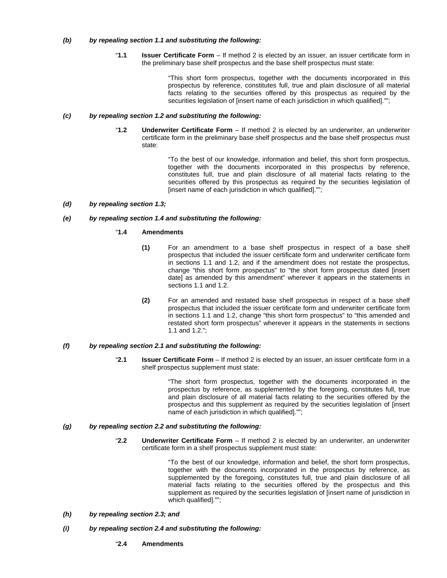### *(b) by repealing section 1.1 and substituting the following:*

"**1.1 Issuer Certificate Form** – If method 2 is elected by an issuer, an issuer certificate form in the preliminary base shelf prospectus and the base shelf prospectus must state:

> "This short form prospectus, together with the documents incorporated in this prospectus by reference, constitutes full, true and plain disclosure of all material facts relating to the securities offered by this prospectus as required by the securities legislation of [insert name of each jurisdiction in which qualified]."";

### *(c) by repealing section 1.2 and substituting the following:*

"**1.2 Underwriter Certificate Form** – If method 2 is elected by an underwriter, an underwriter certificate form in the preliminary base shelf prospectus and the base shelf prospectus must state:

> "To the best of our knowledge, information and belief, this short form prospectus, together with the documents incorporated in this prospectus by reference, constitutes full, true and plain disclosure of all material facts relating to the securities offered by this prospectus as required by the securities legislation of [insert name of each jurisdiction in which qualified]."";

#### *(d) by repealing section 1.3;*

#### *(e) by repealing section 1.4 and substituting the following:*

### "**1.4 Amendments**

- **(1)** For an amendment to a base shelf prospectus in respect of a base shelf prospectus that included the issuer certificate form and underwriter certificate form in sections 1.1 and 1.2, and if the amendment does not restate the prospectus, change "this short form prospectus" to "the short form prospectus dated [insert date] as amended by this amendment" wherever it appears in the statements in sections 1.1 and 1.2.
- **(2)** For an amended and restated base shelf prospectus in respect of a base shelf prospectus that included the issuer certificate form and underwriter certificate form in sections 1.1 and 1.2, change "this short form prospectus" to "this amended and restated short form prospectus" wherever it appears in the statements in sections 1.1 and 1.2.";

### *(f) by repealing section 2.1 and substituting the following:*

"**2.1 Issuer Certificate Form** – If method 2 is elected by an issuer, an issuer certificate form in a shelf prospectus supplement must state:

> "The short form prospectus, together with the documents incorporated in the prospectus by reference, as supplemented by the foregoing, constitutes full, true and plain disclosure of all material facts relating to the securities offered by the prospectus and this supplement as required by the securities legislation of [insert name of each jurisdiction in which qualified]."";

#### *(g) by repealing section 2.2 and substituting the following:*

"**2.2 Underwriter Certificate Form** – If method 2 is elected by an underwriter, an underwriter certificate form in a shelf prospectus supplement must state:

> "To the best of our knowledge, information and belief, the short form prospectus, together with the documents incorporated in the prospectus by reference, as supplemented by the foregoing, constitutes full, true and plain disclosure of all material facts relating to the securities offered by the prospectus and this supplement as required by the securities legislation of [insert name of jurisdiction in which qualified]."";

- *(h) by repealing section 2.3; and*
- *(i) by repealing section 2.4 and substituting the following:* 
	- "**2.4 Amendments**